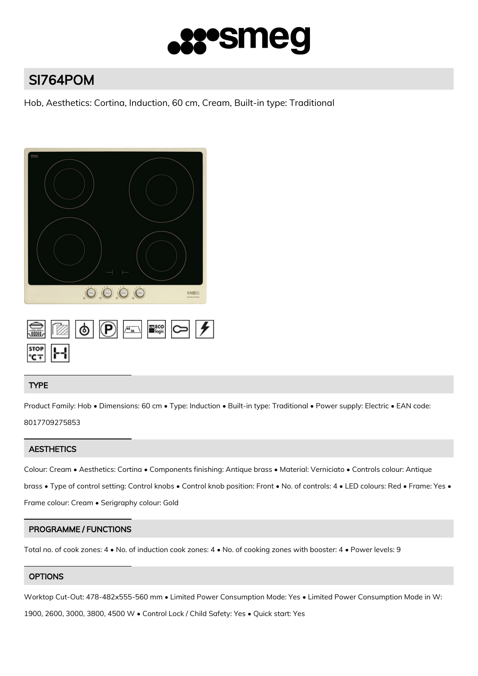

# SI764POM

Hob, Aesthetics: Cortina, Induction, 60 cm, Cream, Built-in type: Traditional



## TYPE

Product Family: Hob • Dimensions: 60 cm • Type: Induction • Built-in type: Traditional • Power supply: Electric • EAN code: 8017709275853

## **AESTHETICS**

Colour: Cream • Aesthetics: Cortina • Components finishing: Antique brass • Material: Verniciato • Controls colour: Antique brass • Type of control setting: Control knobs • Control knob position: Front • No. of controls: 4 • LED colours: Red • Frame: Yes • Frame colour: Cream • Serigraphy colour: Gold

## PROGRAMME / FUNCTIONS

Total no. of cook zones: 4 • No. of induction cook zones: 4 • No. of cooking zones with booster: 4 • Power levels: 9

# **OPTIONS**

Worktop Cut-Out: 478-482x555-560 mm • Limited Power Consumption Mode: Yes • Limited Power Consumption Mode in W:

1900, 2600, 3000, 3800, 4500 W • Control Lock / Child Safety: Yes • Quick start: Yes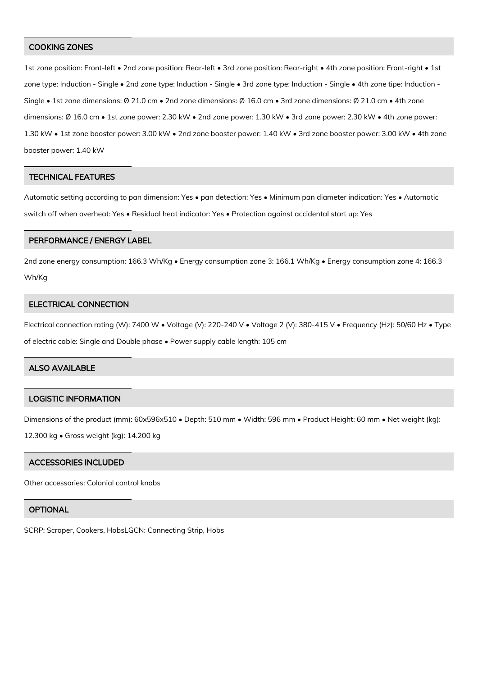#### COOKING ZONES

1st zone position: Front-left • 2nd zone position: Rear-left • 3rd zone position: Rear-right • 4th zone position: Front-right • 1st zone type: Induction - Single • 2nd zone type: Induction - Single • 3rd zone type: Induction - Single • 4th zone tipe: Induction - Single • 1st zone dimensions: Ø 21.0 cm • 2nd zone dimensions: Ø 16.0 cm • 3rd zone dimensions: Ø 21.0 cm • 4th zone dimensions: Ø 16.0 cm • 1st zone power: 2.30 kW • 2nd zone power: 1.30 kW • 3rd zone power: 2.30 kW • 4th zone power: 1.30 kW • 1st zone booster power: 3.00 kW • 2nd zone booster power: 1.40 kW • 3rd zone booster power: 3.00 kW • 4th zone booster power: 1.40 kW

#### TECHNICAL FEATURES

Automatic setting according to pan dimension: Yes • pan detection: Yes • Minimum pan diameter indication: Yes • Automatic switch off when overheat: Yes • Residual heat indicator: Yes • Protection against accidental start up: Yes

#### PERFORMANCE / ENERGY LABEL

2nd zone energy consumption: 166.3 Wh/Kg • Energy consumption zone 3: 166.1 Wh/Kg • Energy consumption zone 4: 166.3 Wh/Kg

#### ELECTRICAL CONNECTION

Electrical connection rating (W): 7400 W • Voltage (V): 220-240 V • Voltage 2 (V): 380-415 V • Frequency (Hz): 50/60 Hz • Type of electric cable: Single and Double phase • Power supply cable length: 105 cm

## ALSO AVAILABLE

#### LOGISTIC INFORMATION

Dimensions of the product (mm): 60x596x510 • Depth: 510 mm • Width: 596 mm • Product Height: 60 mm • Net weight (kg):

12.300 kg • Gross weight (kg): 14.200 kg

#### ACCESSORIES INCLUDED

Other accessories: Colonial control knobs

### **OPTIONAL**

SCRP: Scraper, Cookers, HobsLGCN: Connecting Strip, Hobs